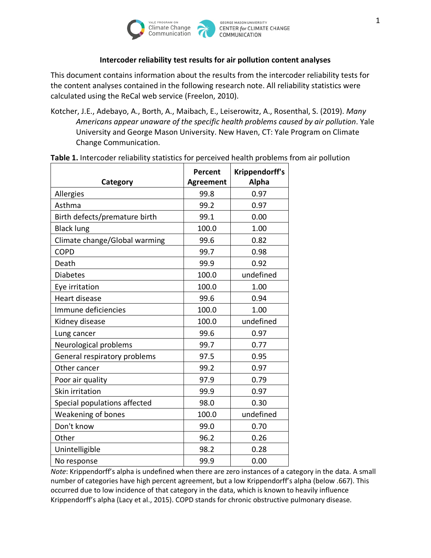

## **Intercoder reliability test results for air pollution content analyses**

This document contains information about the results from the intercoder reliability tests for the content analyses contained in the following research note. All reliability statistics were calculated using the ReCal web service (Freelon, 2010).

Kotcher, J.E., Adebayo, A., Borth, A., Maibach, E., Leiserowitz, A., Rosenthal, S. (2019). *Many Americans appear unaware of the specific health problems caused by air pollution*. Yale University and George Mason University. New Haven, CT: Yale Program on Climate Change Communication.

|                               | Percent          | Krippendorff's |
|-------------------------------|------------------|----------------|
| Category                      | <b>Agreement</b> | <b>Alpha</b>   |
| Allergies                     | 99.8             | 0.97           |
| Asthma                        | 99.2             | 0.97           |
| Birth defects/premature birth | 99.1             | 0.00           |
| <b>Black lung</b>             | 100.0            | 1.00           |
| Climate change/Global warming | 99.6             | 0.82           |
| <b>COPD</b>                   | 99.7             | 0.98           |
| Death                         | 99.9             | 0.92           |
| <b>Diabetes</b>               | 100.0            | undefined      |
| Eye irritation                | 100.0            | 1.00           |
| <b>Heart disease</b>          | 99.6             | 0.94           |
| Immune deficiencies           | 100.0            | 1.00           |
| Kidney disease                | 100.0            | undefined      |
| Lung cancer                   | 99.6             | 0.97           |
| Neurological problems         | 99.7             | 0.77           |
| General respiratory problems  | 97.5             | 0.95           |
| Other cancer                  | 99.2             | 0.97           |
| Poor air quality              | 97.9             | 0.79           |
| Skin irritation               | 99.9             | 0.97           |
| Special populations affected  | 98.0             | 0.30           |
| Weakening of bones            | 100.0            | undefined      |
| Don't know                    | 99.0             | 0.70           |
| Other                         | 96.2             | 0.26           |
| Unintelligible                | 98.2             | 0.28           |
| No response                   | 99.9             | 0.00           |

**Table 1.** Intercoder reliability statistics for perceived health problems from air pollution

*Note*: Krippendorff's alpha is undefined when there are zero instances of a category in the data. A small number of categories have high percent agreement, but a low Krippendorff's alpha (below .667). This occurred due to low incidence of that category in the data, which is known to heavily influence Krippendorff's alpha (Lacy et al., 2015). COPD stands for chronic obstructive pulmonary disease.